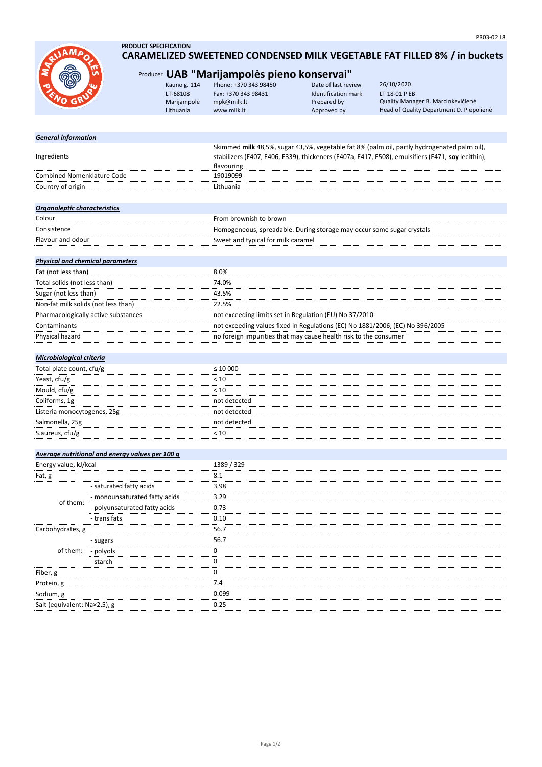

# **PRODUCT SPECIFICATION CARAMELIZED SWEETENED CONDENSED MILK VEGETABLE FAT FILLED 8% / in buckets**

| Kauno g. 114<br>LT-68108<br>Marijampolė<br>Lithuania | Phone: +370 343 98450<br>Fax: +370 343 98431<br>mpk@milk.lt<br>www.milk.lt | Date of last review<br>Identification mark<br>Prepared by<br>Approved by | 26/10/2020<br>LT 18-01 P EB<br>Quality Manager B. Marcinkevičienė<br>Head of Quality Department D. Piepolienė                                                                                                                                                                                                                                                  |
|------------------------------------------------------|----------------------------------------------------------------------------|--------------------------------------------------------------------------|----------------------------------------------------------------------------------------------------------------------------------------------------------------------------------------------------------------------------------------------------------------------------------------------------------------------------------------------------------------|
|                                                      |                                                                            |                                                                          |                                                                                                                                                                                                                                                                                                                                                                |
|                                                      |                                                                            |                                                                          |                                                                                                                                                                                                                                                                                                                                                                |
|                                                      | flavouring                                                                 |                                                                          |                                                                                                                                                                                                                                                                                                                                                                |
|                                                      | 19019099                                                                   |                                                                          |                                                                                                                                                                                                                                                                                                                                                                |
|                                                      | Lithuania                                                                  |                                                                          |                                                                                                                                                                                                                                                                                                                                                                |
|                                                      |                                                                            |                                                                          |                                                                                                                                                                                                                                                                                                                                                                |
|                                                      | From brownish to brown                                                     |                                                                          |                                                                                                                                                                                                                                                                                                                                                                |
|                                                      |                                                                            |                                                                          |                                                                                                                                                                                                                                                                                                                                                                |
|                                                      |                                                                            |                                                                          |                                                                                                                                                                                                                                                                                                                                                                |
|                                                      |                                                                            |                                                                          |                                                                                                                                                                                                                                                                                                                                                                |
|                                                      | 8.0%                                                                       |                                                                          |                                                                                                                                                                                                                                                                                                                                                                |
|                                                      | 74.0%                                                                      |                                                                          |                                                                                                                                                                                                                                                                                                                                                                |
|                                                      |                                                                            |                                                                          | Producer UAB "Marijampolės pieno konservai"<br>Skimmed milk 48,5%, sugar 43,5%, vegetable fat 8% (palm oil, partly hydrogenated palm oil),<br>stabilizers (E407, E406, E339), thickeners (E407a, E417, E508), emulsifiers (E471, soy lecithin),<br>Homogeneous, spreadable. During storage may occur some sugar crystals<br>Sweet and typical for milk caramel |

| Sugar (not less than)               | 43.5%                                                                         |
|-------------------------------------|-------------------------------------------------------------------------------|
| Non-fat milk solids (not less than) | 22.5%                                                                         |
| Pharmacologically active substances | not exceeding limits set in Regulation (EU) No 37/2010                        |
| Contaminants                        | not exceeding values fixed in Regulations (EC) No 1881/2006, (EC) No 396/2005 |
| <b>Physical hazard</b>              | no foreign impurities that may cause health risk to the consumer              |
|                                     |                                                                               |

# *Microbiological criteria*

| Total plate count, cfu/g    | $\leq 10000$ |
|-----------------------------|--------------|
| Yeast, cfu/g                | < 10         |
| Mould, cfu/g                | < 10         |
| Coliforms, 1g               | not detected |
| Listeria monocytogenes, 25g | not detected |
| Salmonella, 25g             | not detected |
| S.aureus, cfu/g             |              |

|                              | Average nutritional and energy values per 100 g |            |
|------------------------------|-------------------------------------------------|------------|
| Energy value, kJ/kcal        |                                                 | 1389 / 329 |
| Fat, g                       |                                                 | 8.1        |
| of them:                     | - saturated fatty acids                         | 3.98       |
|                              | - monounsaturated fatty acids                   | 3.29       |
|                              | - polyunsaturated fatty acids                   | 0.73       |
|                              | - trans fats                                    | 0.10       |
| Carbohydrates, g             |                                                 | 56.7       |
| of them: - polyols           | - sugars                                        | 56.7       |
|                              |                                                 |            |
|                              | - starch                                        |            |
| Fiber, g                     |                                                 |            |
| Protein, g                   |                                                 | 7.4        |
| Sodium, g                    |                                                 | 0.099      |
| Salt (equivalent: Na×2,5), g |                                                 | 0.25       |